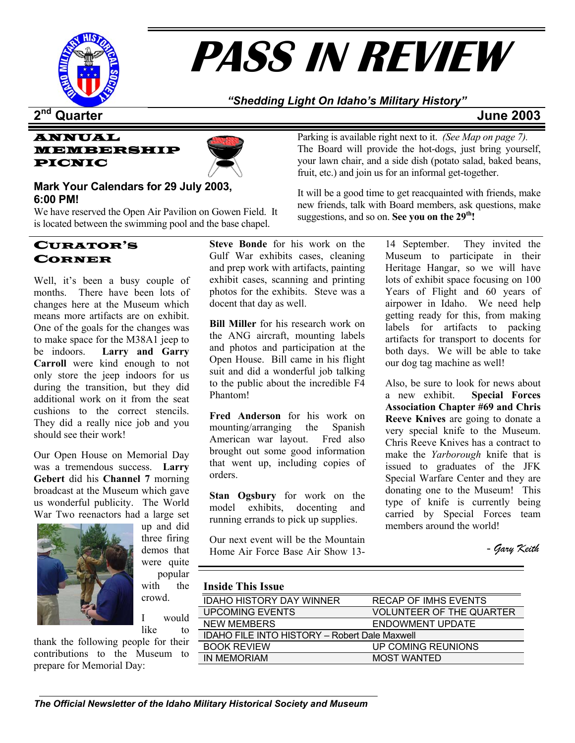

# **PASS IN REVIEW**

# *"Shedding Light On Idaho's Military History"*

# **2nd Quarter June 2003**





# **Mark Your Calendars for 29 July 2003, 6:00 PM!**

We have reserved the Open Air Pavilion on Gowen Field. It is located between the swimming pool and the base chapel.

# CURATOR'S CORNER

Well, it's been a busy couple of months. There have been lots of changes here at the Museum which means more artifacts are on exhibit. One of the goals for the changes was to make space for the M38A1 jeep to be indoors. **Larry and Garry Carroll** were kind enough to not only store the jeep indoors for us during the transition, but they did additional work on it from the seat cushions to the correct stencils. They did a really nice job and you should see their work!

Our Open House on Memorial Day was a tremendous success. **Larry Gebert** did his **Channel 7** morning broadcast at the Museum which gave us wonderful publicity. The World War Two reenactors had a large set



up and did three firing demos that were quite popular with the crowd.

I would like to

thank the following people for their contributions to the Museum to prepare for Memorial Day:

**Steve Bonde** for his work on the Gulf War exhibits cases, cleaning and prep work with artifacts, painting exhibit cases, scanning and printing photos for the exhibits. Steve was a docent that day as well.

**Bill Miller** for his research work on the ANG aircraft, mounting labels and photos and participation at the Open House. Bill came in his flight suit and did a wonderful job talking to the public about the incredible F4 Phantom!

**Fred Anderson** for his work on mounting/arranging the Spanish American war layout. Fred also brought out some good information that went up, including copies of orders.

**Stan Ogsbury** for work on the model exhibits, docenting and running errands to pick up supplies.

Our next event will be the Mountain Home Air Force Base Air Show 13-

Parking is available right next to it. *(See Map on page 7).* The Board will provide the hot-dogs, just bring yourself, your lawn chair, and a side dish (potato salad, baked beans, fruit, etc.) and join us for an informal get-together.

It will be a good time to get reacquainted with friends, make new friends, talk with Board members, ask questions, make suggestions, and so on. **See you on the 29th!** 

> 14 September. They invited the Museum to participate in their Heritage Hangar, so we will have lots of exhibit space focusing on 100 Years of Flight and 60 years of airpower in Idaho. We need help getting ready for this, from making labels for artifacts to packing artifacts for transport to docents for both days. We will be able to take our dog tag machine as well!

> Also, be sure to look for news about a new exhibit. **Special Forces Association Chapter #69 and Chris Reeve Knives** are going to donate a very special knife to the Museum. Chris Reeve Knives has a contract to make the *Yarborough* knife that is issued to graduates of the JFK Special Warfare Center and they are donating one to the Museum! This type of knife is currently being carried by Special Forces team members around the world!

- *Gary Keith*

# **Inside This Issue**

| пияме типя тяяме                                     |                                 |  |  |  |
|------------------------------------------------------|---------------------------------|--|--|--|
| <b>IDAHO HISTORY DAY WINNER</b>                      | <b>RECAP OF IMHS EVENTS</b>     |  |  |  |
| UPCOMING EVENTS                                      | <b>VOLUNTEER OF THE QUARTER</b> |  |  |  |
| <b>NEW MEMBERS</b>                                   | ENDOWMENT UPDATE                |  |  |  |
| <b>IDAHO FILE INTO HISTORY - Robert Dale Maxwell</b> |                                 |  |  |  |
| <b>BOOK REVIEW</b>                                   | UP COMING REUNIONS              |  |  |  |
| IN MEMORIAM                                          | <b>MOST WANTED</b>              |  |  |  |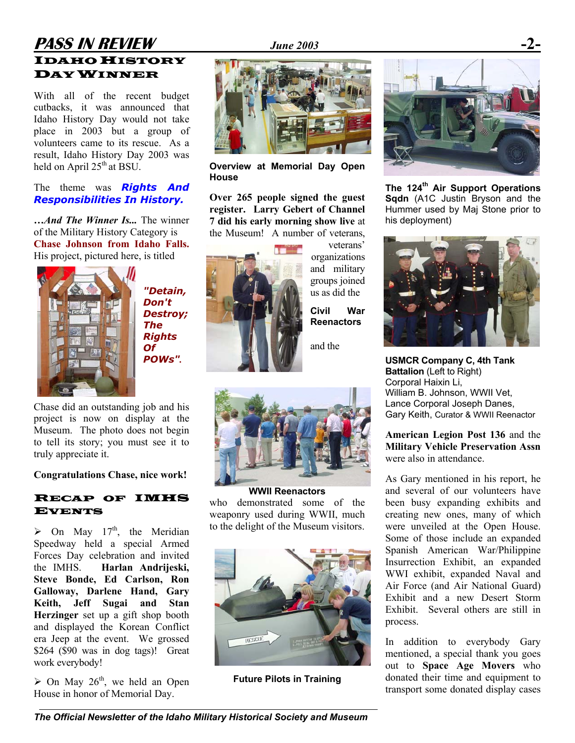# **PASS IN REVIEW** *June 2003* **-2-** IDAHO HISTORY DAY WINNER

With all of the recent budget cutbacks, it was announced that Idaho History Day would not take place in 2003 but a group of volunteers came to its rescue. As a result, Idaho History Day 2003 was held on April 25<sup>th</sup> at BSU.

### The theme was *Rights And Responsibilities In History.*

**…***And The Winner Is...* The winner of the Military History Category is **Chase Johnson from Idaho Falls.** His project, pictured here, is titled



*"Detain, Don't Destroy; The Rights Of POWs".* 

Chase did an outstanding job and his project is now on display at the Museum. The photo does not begin to tell its story; you must see it to truly appreciate it.

**Congratulations Chase, nice work!** 

## RECAP OF IMHS EVENTS

 $\triangleright$  On May 17<sup>th</sup>, the Meridian Speedway held a special Armed Forces Day celebration and invited the IMHS. **Harlan Andrijeski, Steve Bonde, Ed Carlson, Ron Galloway, Darlene Hand, Gary Keith, Jeff Sugai and Stan Herzinger** set up a gift shop booth and displayed the Korean Conflict era Jeep at the event. We grossed \$264 (\$90 was in dog tags)! Great work everybody!

 $\geq$  On May 26<sup>th</sup>, we held an Open House in honor of Memorial Day.



**Overview at Memorial Day Open House** 

**Over 265 people signed the guest register. Larry Gebert of Channel 7 did his early morning show live** at the Museum! A number of veterans,



veterans' organizations and military groups joined us as did the

**Civil War Reenactors** 

and the



**WWII Reenactors**  who demonstrated some of the weaponry used during WWII, much to the delight of the Museum visitors.



**Future Pilots in Training** 



**The 124th Air Support Operations Sqdn** (A1C Justin Bryson and the Hummer used by Maj Stone prior to his deployment)



**USMCR Company C, 4th Tank Battalion** (Left to Right) Corporal Haixin Li, William B. Johnson, WWII Vet, Lance Corporal Joseph Danes, Gary Keith, Curator & WWII Reenactor

**American Legion Post 136** and the **Military Vehicle Preservation Assn** were also in attendance.

As Gary mentioned in his report, he and several of our volunteers have been busy expanding exhibits and creating new ones, many of which were unveiled at the Open House. Some of those include an expanded Spanish American War/Philippine Insurrection Exhibit, an expanded WWI exhibit, expanded Naval and Air Force (and Air National Guard) Exhibit and a new Desert Storm Exhibit. Several others are still in process.

In addition to everybody Gary mentioned, a special thank you goes out to **Space Age Movers** who donated their time and equipment to transport some donated display cases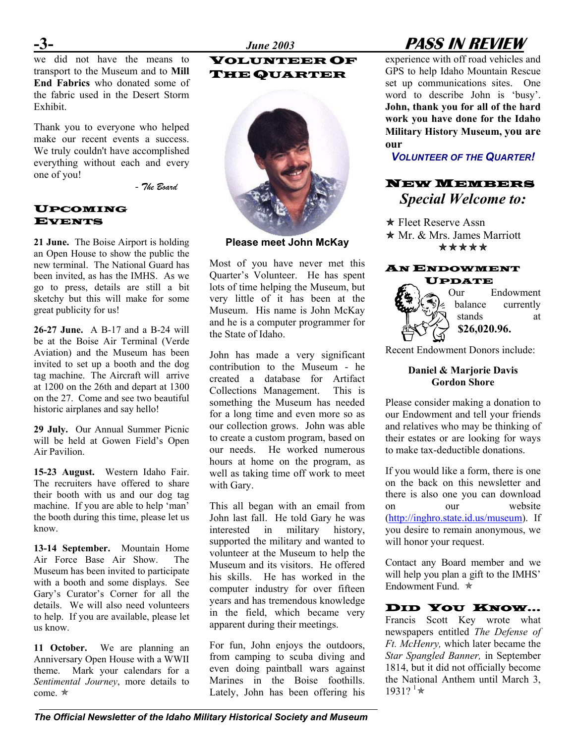### VOLUNTEER OF THE QUARTER



**Please meet John McKay**

Most of you have never met this Quarter's Volunteer. He has spent lots of time helping the Museum, but very little of it has been at the Museum. His name is John McKay and he is a computer programmer for the State of Idaho.

John has made a very significant contribution to the Museum - he created a database for Artifact Collections Management. This is something the Museum has needed for a long time and even more so as our collection grows. John was able to create a custom program, based on our needs. He worked numerous hours at home on the program, as well as taking time off work to meet with Gary.

This all began with an email from John last fall. He told Gary he was interested in military history, supported the military and wanted to volunteer at the Museum to help the Museum and its visitors. He offered his skills. He has worked in the computer industry for over fifteen years and has tremendous knowledge in the field, which became very apparent during their meetings.

For fun, John enjoys the outdoors, from camping to scuba diving and even doing paintball wars against Marines in the Boise foothills. Lately, John has been offering his

# **-3-** *June 2003* **PASS IN REVIEW**

experience with off road vehicles and GPS to help Idaho Mountain Rescue set up communications sites. One word to describe John is 'busy'. **John, thank you for all of the hard work you have done for the Idaho Military History Museum, you are our** 

*VOLUNTEER OF THE QUARTER!* 

# NEW MEMBERS *Special Welcome to:*

**★ Fleet Reserve Assn**  $\star$  Mr. & Mrs. James Marriott \*\*\*\*\*

# AN ENDOWMENT UPDATE



Recent Endowment Donors include:

# **Daniel & Marjorie Davis Gordon Shore**

Please consider making a donation to our Endowment and tell your friends and relatives who may be thinking of their estates or are looking for ways to make tax-deductible donations.

If you would like a form, there is one on the back on this newsletter and there is also one you can download on our website [\(http://inghro.state.id.us/museum](http://inghro.state.id.us/museum)). If you desire to remain anonymous, we will honor your request.

Contact any Board member and we will help you plan a gift to the IMHS' Endowment Fund  $\ast$ 

# DID YOU KNOW…

Francis Scott Key wrote what newspapers entitled *The Defense of Ft. McHenry,* which later became the *Star Spangled Banner,* in September 1814, but it did not officially become the National Anthem until March 3,  $1931?$ <sup>1</sup>\*

we did not have the means to transport to the Museum and to **Mill End Fabrics** who donated some of the fabric used in the Desert Storm Exhibit.

Thank you to everyone who helped make our recent events a success. We truly couldn't have accomplished everything without each and every one of you!

- *The Board* 

# UPCOMING EVENTS

**21 June.** The Boise Airport is holding an Open House to show the public the new terminal. The National Guard has been invited, as has the IMHS. As we go to press, details are still a bit sketchy but this will make for some great publicity for us!

**26-27 June.** A B-17 and a B-24 will be at the Boise Air Terminal (Verde Aviation) and the Museum has been invited to set up a booth and the dog tag machine. The Aircraft will arrive at 1200 on the 26th and depart at 1300 on the 27. Come and see two beautiful historic airplanes and say hello!

**29 July.** Our Annual Summer Picnic will be held at Gowen Field's Open Air Pavilion.

**15-23 August.** Western Idaho Fair. The recruiters have offered to share their booth with us and our dog tag machine. If you are able to help 'man' the booth during this time, please let us know.

**13-14 September.** Mountain Home Air Force Base Air Show. The Museum has been invited to participate with a booth and some displays. See Gary's Curator's Corner for all the details. We will also need volunteers to help. If you are available, please let us know.

**11 October.** We are planning an Anniversary Open House with a WWII theme. Mark your calendars for a *Sentimental Journey*, more details to come.  $\star$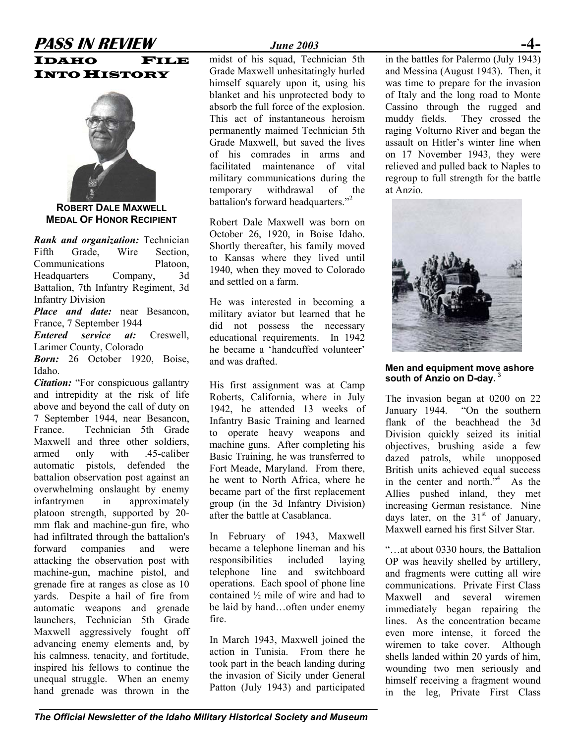# **PASS IN REVIEW** *June 2003* IDAHO FILE **INTO HISTORY**



**ROBERT DALE MAXWELL MEDAL OF HONOR RECIPIENT**

*Rank and organization:* Technician Fifth Grade, Wire Section, Communications Platoon, Headquarters Company, 3d Battalion, 7th Infantry Regiment, 3d Infantry Division

*Place and date:* near Besancon, France, 7 September 1944

*Entered service at:* Creswell, Larimer County, Colorado

*Born:* 26 October 1920, Boise, Idaho.

*Citation:* "For conspicuous gallantry and intrepidity at the risk of life above and beyond the call of duty on 7 September 1944, near Besancon, France. Technician 5th Grade Maxwell and three other soldiers armed only with .45-caliber automatic pistols, defended the battalion observation post against an overwhelming onslaught by enemy infantrymen in approximately platoon strength, supported by 20 mm flak and machine-gun fire, who had infiltrated through the battalion's forward companies and were attacking the observation post with machine-gun, machine pistol, and grenade fire at ranges as close as 10 yards. Despite a hail of fire from automatic weapons and grenade launchers, Technician 5th Grade Maxwell aggressively fought off advancing enemy elements and, by his calmness, tenacity, and fortitude, inspired his fellows to continue the unequal struggle. When an enemy hand grenade was thrown in the

midst of his squad, Technician 5th Grade Maxwell unhesitatingly hurled himself squarely upon it, using his blanket and his unprotected body to absorb the full force of the explosion. This act of instantaneous heroism permanently maimed Technician 5th Grade Maxwell, but saved the lives of his comrades in arms and facilitated maintenance of vital military communications during the temporary withdrawal of the battalion's forward headquarters."<sup>[2](#page--1-1)</sup>

Robert Dale Maxwell was born on October 26, 1920, in Boise Idaho. Shortly thereafter, his family moved to Kansas where they lived until 1940, when they moved to Colorado and settled on a farm.

He was interested in becoming a military aviator but learned that he did not possess the necessary educational requirements. In 1942 he became a 'handcuffed volunteer' and was drafted.

His first assignment was at Camp Roberts, California, where in July 1942, he attended 13 weeks of Infantry Basic Training and learned to operate heavy weapons and machine guns. After completing his Basic Training, he was transferred to Fort Meade, Maryland. From there, he went to North Africa, where he became part of the first replacement group (in the 3d Infantry Division) after the battle at Casablanca.

In February of 1943, Maxwell became a telephone lineman and his responsibilities included laying telephone line and switchboard operations. Each spool of phone line contained ½ mile of wire and had to be laid by hand…often under enemy fire.

In March 1943, Maxwell joined the action in Tunisia. From there he took part in the beach landing during the invasion of Sicily under General Patton (July 1943) and participated

in the battles for Palermo (July 1943) and Messina (August 1943). Then, it was time to prepare for the invasion of Italy and the long road to Monte Cassino through the rugged and muddy fields. They crossed the raging Volturno River and began the assault on Hitler's winter line when on 17 November 1943, they were relieved and pulled back to Naples to regroup to full strength for the battle at Anzio.



**Men and equipment move ashore south of Anzio on D-day.** [3](#page--1-2)

The invasion began at 0200 on 22 January 1944. "On the southern flank of the beachhead the 3d Division quickly seized its initial objectives, brushing aside a few dazed patrols, while unopposed British units achieved equal success in the center and north. $^{7,4}$  As the Allies pushed inland, they met increasing German resistance. Nine days later, on the  $31<sup>st</sup>$  of January, Maxwell earned his first Silver Star.

"…at about 0330 hours, the Battalion OP was heavily shelled by artillery, and fragments were cutting all wire communications. Private First Class Maxwell and several wiremen immediately began repairing the lines. As the concentration became even more intense, it forced the wiremen to take cover. Although shells landed within 20 yards of him, wounding two men seriously and himself receiving a fragment wound in the leg, Private First Class

*The Official Newsletter of the Idaho Military Historical Society and Museum*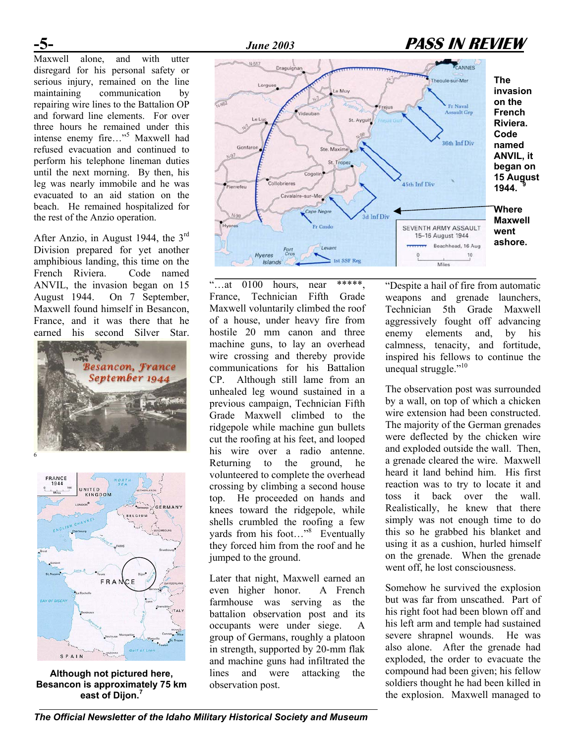Maxwell alone, and with utter disregard for his personal safety or serious injury, remained on the line maintaining communication by repairing wire lines to the Battalion OP and forward line elements. For over three hours he remained under this intense enemy fire..."<sup>[5](#page--1-4)</sup> Maxwell had refused evacuation and continued to perform his telephone lineman duties until the next morning. By then, his leg was nearly immobile and he was evacuated to an aid station on the beach. He remained hospitalized for the rest of the Anzio operation.

Division prepared for yet another amphibious landing, this time on the French Riviera. Code named ANVIL, the invasion began on 15 August 1944. On 7 September, Maxwell found himself in Besancon, France, and it was there that he earned his second Silver Star.





**Although not pictured here, Besancon is approximately 75 km east of Dijon. [7](#page--1-6)**



"...at  $0100$  hours, near \*\*\*\*\*, France, Technician Fifth Grade Maxwell voluntarily climbed the roof of a house, under heavy fire from hostile 20 mm canon and three machine guns, to lay an overhead wire crossing and thereby provide communications for his Battalion CP. Although still lame from an unhealed leg wound sustained in a previous campaign, Technician Fifth Grade Maxwell climbed to the ridgepole while machine gun bullets cut the roofing at his feet, and looped his wire over a radio antenne. Returning to the ground, he volunteered to complete the overhead crossing by climbing a second house top. He proceeded on hands and knees toward the ridgepole, while shells crumbled the roofing a few yards from his foot..."<sup>[8](#page--1-7)</sup> Eventually they forced him from the roof and he jumped to the ground.

Later that night, Maxwell earned an even higher honor. A French farmhouse was serving as the battalion observation post and its occupants were under siege. A group of Germans, roughly a platoon in strength, supported by 20-mm flak and machine guns had infiltrated the lines and were attacking the observation post.

"Despite a hail of fire from automatic weapons and grenade launchers, Technician 5th Grade Maxwell aggressively fought off advancing enemy elements and, by his calmness, tenacity, and fortitude, inspired his fellows to continue the unequal struggle."<sup>10</sup>

The observation post was surrounded by a wall, on top of which a chicken wire extension had been constructed. The majority of the German grenades were deflected by the chicken wire and exploded outside the wall. Then, a grenade cleared the wire. Maxwell heard it land behind him. His first reaction was to try to locate it and toss it back over the wall. Realistically, he knew that there simply was not enough time to do this so he grabbed his blanket and using it as a cushion, hurled himself on the grenade. When the grenade went off, he lost consciousness.

Somehow he survived the explosion but was far from unscathed. Part of his right foot had been blown off and his left arm and temple had sustained severe shrapnel wounds. He was also alone. After the grenade had exploded, the order to evacuate the compound had been given; his fellow soldiers thought he had been killed in the explosion. Maxwell managed to

*The Official Newsletter of the Idaho Military Historical Society and Museum*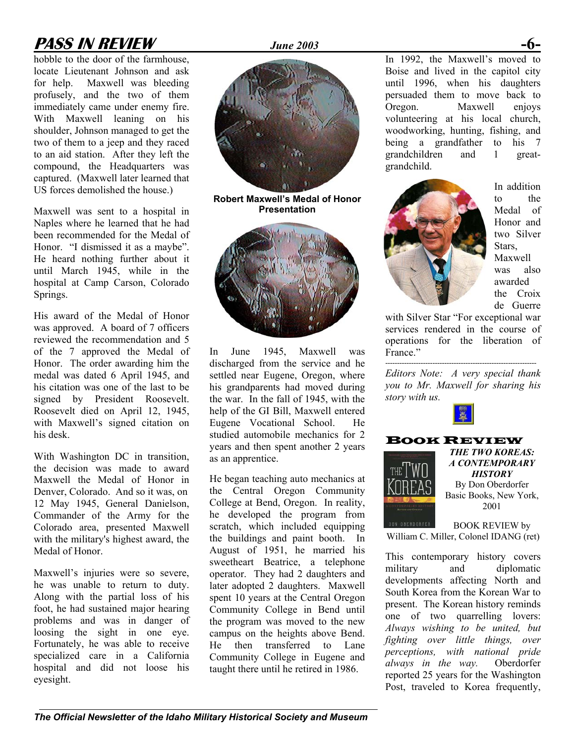# **PASS IN REVIEW** *June 2003* **-6-**

hobble to the door of the farmhouse, locate Lieutenant Johnson and ask for help. Maxwell was bleeding profusely, and the two of them immediately came under enemy fire. With Maxwell leaning on his shoulder, Johnson managed to get the two of them to a jeep and they raced to an aid station. After they left the compound, the Headquarters was captured. (Maxwell later learned that US forces demolished the house.)

Maxwell was sent to a hospital in **Presentation** Naples where he learned that he had been recommended for the Medal of Honor. "I dismissed it as a maybe". He heard nothing further about it until March 1945, while in the hospital at Camp Carson, Colorado Springs.

His award of the Medal of Honor was approved. A board of 7 officers reviewed the recommendation and 5 of the 7 approved the Medal of Honor. The order awarding him the medal was dated 6 April 1945, and his citation was one of the last to be signed by President Roosevelt. Roosevelt died on April 12, 1945, with Maxwell's signed citation on his desk.

With Washington DC in transition, the decision was made to award Maxwell the Medal of Honor in Denver, Colorado. And so it was, on Commander of the Army for the Colorado area, presented Maxwell with the military's highest award, the Medal of Honor.

Maxwell's injuries were so severe, he was unable to return to duty. Along with the partial loss of his foot, he had sustained major hearing problems and was in danger of loosing the sight in one eye. Fortunately, he was able to receive specialized care in a California hospital and did not loose his eyesight.



**Robert Maxwell's Medal of Honor** 



In June 1945, Maxwell was discharged from the service and he settled near Eugene, Oregon, where his grandparents had moved during the war. In the fall of 1945, with the help of the GI Bill, Maxwell entered Eugene Vocational School. He studied automobile mechanics for 2 years and then spent another 2 years as an apprentice.

He began teaching auto mechanics at **HISTORY HISTORY** the Central Oregon Community Denver, Colorado. And so it was, on the Central Oregon. Community Rolling Basic Books, New York, 12 May 1945, General Danielson, College at Bend, Oregon. In reality, 2001 he developed the program from scratch, which included equipping the buildings and paint booth. In August of 1951, he married his sweetheart Beatrice, a telephone operator. They had 2 daughters and later adopted 2 daughters. Maxwell spent 10 years at the Central Oregon Community College in Bend until the program was moved to the new campus on the heights above Bend. He then transferred to Lane Community College in Eugene and taught there until he retired in 1986.

In 1992, the Maxwell's moved to Boise and lived in the capitol city until 1996, when his daughters persuaded them to move back to Oregon. Maxwell enjoys volunteering at his local church, woodworking, hunting, fishing, and being a grandfather to his 7 grandchildren and 1 greatgrandchild.



In addition to the Medal of Honor and two Silver **Stars** Maxwell was also awarded the Croix de Guerre

with Silver Star "For exceptional war services rendered in the course of operations for the liberation of France."

*Editors Note: A very special thank you to Mr. Maxwell for sharing his story with us.* 

----------------------------------------------------------------



# **BOOK REVIEW**<br>THE TWO KOREAS:



*A CONTEMPORARY*  By Don Oberdorfer

BOOK REVIEW by William C. Miller, Colonel IDANG (ret)

This contemporary history covers military and diplomatic developments affecting North and South Korea from the Korean War to present. The Korean history reminds one of two quarrelling lovers: *Always wishing to be united, but fighting over little things, over perceptions, with national pride always in the way.* Oberdorfer reported 25 years for the Washington Post, traveled to Korea frequently,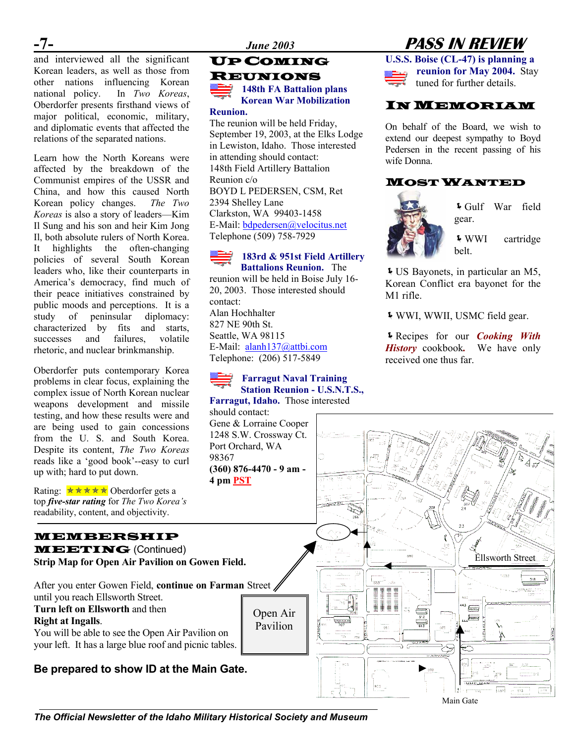$-1$  –<br>and interviewed all the significant Korean leaders, as well as those from other nations influencing Korean national policy. In *Two Koreas*, Oberdorfer presents firsthand views of major political, economic, military, and diplomatic events that affected the relations of the separated nations.

Learn how the North Koreans were affected by the breakdown of the Communist empires of the USSR and China, and how this caused North Korean policy changes. *The Two Koreas* is also a story of leaders—Kim Il Sung and his son and heir Kim Jong Il, both absolute rulers of North Korea. It highlights the often-changing policies of several South Korean leaders who, like their counterparts in America's democracy, find much of their peace initiatives constrained by public moods and perceptions. It is a study of peninsular diplomacy: characterized by fits and starts, successes and failures, volatile rhetoric, and nuclear brinkmanship.

Oberdorfer puts contemporary Korea problems in clear focus, explaining the complex issue of North Korean nuclear weapons development and missile testing, and how these results were and are being used to gain concessions from the U. S. and South Korea. Despite its content, *The Two Koreas* reads like a 'good book'--easy to curl up with; hard to put down.

Rating:  $\star \star \star \star \star$  Oberdorfer gets a top *five-star rating* for *The Two Korea's* readability, content, and objectivity.

# MEMBERSHIP

MEETING (Continued) **Strip Map for Open Air Pavilion on Gowen Field.** 

After you enter Gowen Field, **continue on Farman** Street until you reach Ellsworth Street.

# **Right at Ingalls**.

You will be able to see the Open Air Pavilion on your left. It has a large blue roof and picnic tables.

# **Be prepared to show ID at the Main Gate.**



### **Reunion.**

The reunion will be held Friday, September 19, 2003, at the Elks Lodge in Lewiston, Idaho. Those interested in attending should contact: 148th Field Artillery Battalion Reunion c/o BOYD L PEDERSEN, CSM, Ret 2394 Shelley Lane Clarkston, WA 99403-1458 E-Mail: [bdpedersen@velocitus.net](mailto:bdpedersen@velocitus.net) Telephone (509) 758-7929

### **183rd & 951st Field Artillery Battalions Reunion.** The

reunion will be held in Boise July 16- 20, 2003. Those interested should contact: Alan Hochhalter 827 NE 90th St. Seattle, WA 98115 E-Mail: [alanh137@attbi.com](mailto:alanh137@attbi.com) Telephone: (206) 517-5849

# **Farragut Naval Training Station Reunion - U.S.N.T.S.,**

**Farragut, Idaho.** Those interested

should contact: 1248 S.W. Crossway Ct.

**-7-** *June 2003* **PASS IN REVIEW**

**U.S.S. Boise (CL-47) is planning a reunion for May 2004.** Stay tuned for further details.

# IN MEMORIAM

On behalf of the Board, we wish to extend our deepest sympathy to Boyd Pedersen in the recent passing of his wife Donna.

# MOST WANTED



ÍGulf War field gear.

ÍWWI cartridge belt.

ÍUS Bayonets, in particular an M5, Korean Conflict era bayonet for the M1 rifle.

ÍWWI, WWII, USMC field gear.

ÍRecipes for our *Cooking With History* cookbook*.* We have only received one thus far.



**The Official Newsletter of the Idaho Military Historical Society and Museum**